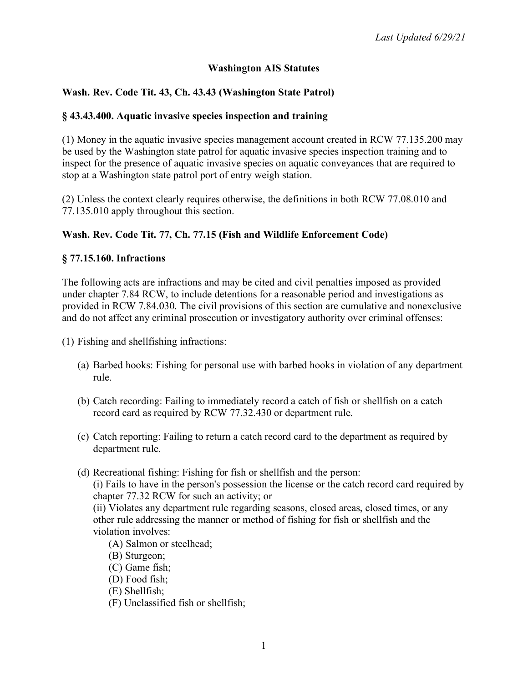## **Washington AIS Statutes**

# **Wash. Rev. Code Tit. 43, Ch. 43.43 (Washington State Patrol)**

### **§ 43.43.400. Aquatic invasive species inspection and training**

(1) Money in the aquatic invasive species management account created in RCW 77.135.200 may be used by the Washington state patrol for aquatic invasive species inspection training and to inspect for the presence of aquatic invasive species on aquatic conveyances that are required to stop at a Washington state patrol port of entry weigh station.

(2) Unless the context clearly requires otherwise, the definitions in both RCW 77.08.010 and 77.135.010 apply throughout this section.

# **Wash. Rev. Code Tit. 77, Ch. 77.15 (Fish and Wildlife Enforcement Code)**

### **§ 77.15.160. Infractions**

The following acts are infractions and may be cited and civil penalties imposed as provided under chapter 7.84 RCW, to include detentions for a reasonable period and investigations as provided in RCW 7.84.030. The civil provisions of this section are cumulative and nonexclusive and do not affect any criminal prosecution or investigatory authority over criminal offenses:

(1) Fishing and shellfishing infractions:

- (a) Barbed hooks: Fishing for personal use with barbed hooks in violation of any department rule.
- (b) Catch recording: Failing to immediately record a catch of fish or shellfish on a catch record card as required by RCW 77.32.430 or department rule.
- (c) Catch reporting: Failing to return a catch record card to the department as required by department rule.
- (d) Recreational fishing: Fishing for fish or shellfish and the person:

(i) Fails to have in the person's possession the license or the catch record card required by chapter 77.32 RCW for such an activity; or

(ii) Violates any department rule regarding seasons, closed areas, closed times, or any other rule addressing the manner or method of fishing for fish or shellfish and the violation involves:

- (A) Salmon or steelhead;
- (B) Sturgeon;
- (C) Game fish;
- (D) Food fish;
- (E) Shellfish;
- (F) Unclassified fish or shellfish;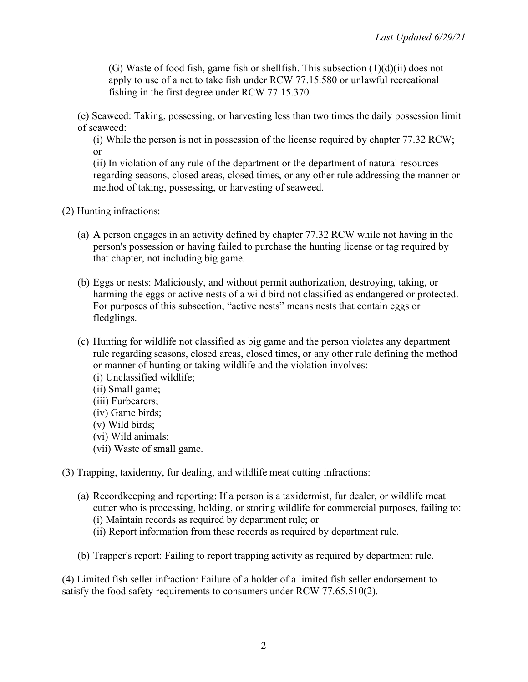(G) Waste of food fish, game fish or shellfish. This subsection  $(1)(d)(ii)$  does not apply to use of a net to take fish under RCW 77.15.580 or unlawful recreational fishing in the first degree under RCW 77.15.370.

(e) Seaweed: Taking, possessing, or harvesting less than two times the daily possession limit of seaweed:

(i) While the person is not in possession of the license required by chapter 77.32 RCW; or

(ii) In violation of any rule of the department or the department of natural resources regarding seasons, closed areas, closed times, or any other rule addressing the manner or method of taking, possessing, or harvesting of seaweed.

- (2) Hunting infractions:
	- (a) A person engages in an activity defined by chapter 77.32 RCW while not having in the person's possession or having failed to purchase the hunting license or tag required by that chapter, not including big game.
	- (b) Eggs or nests: Maliciously, and without permit authorization, destroying, taking, or harming the eggs or active nests of a wild bird not classified as endangered or protected. For purposes of this subsection, "active nests" means nests that contain eggs or fledglings.
	- (c) Hunting for wildlife not classified as big game and the person violates any department rule regarding seasons, closed areas, closed times, or any other rule defining the method or manner of hunting or taking wildlife and the violation involves:
		- (i) Unclassified wildlife;
		- (ii) Small game;
		- (iii) Furbearers;
		- (iv) Game birds;
		- (v) Wild birds;
		- (vi) Wild animals;
		- (vii) Waste of small game.

(3) Trapping, taxidermy, fur dealing, and wildlife meat cutting infractions:

- (a) Recordkeeping and reporting: If a person is a taxidermist, fur dealer, or wildlife meat cutter who is processing, holding, or storing wildlife for commercial purposes, failing to: (i) Maintain records as required by department rule; or
	- (ii) Report information from these records as required by department rule.
- (b) Trapper's report: Failing to report trapping activity as required by department rule.

(4) Limited fish seller infraction: Failure of a holder of a limited fish seller endorsement to satisfy the food safety requirements to consumers under RCW 77.65.510(2).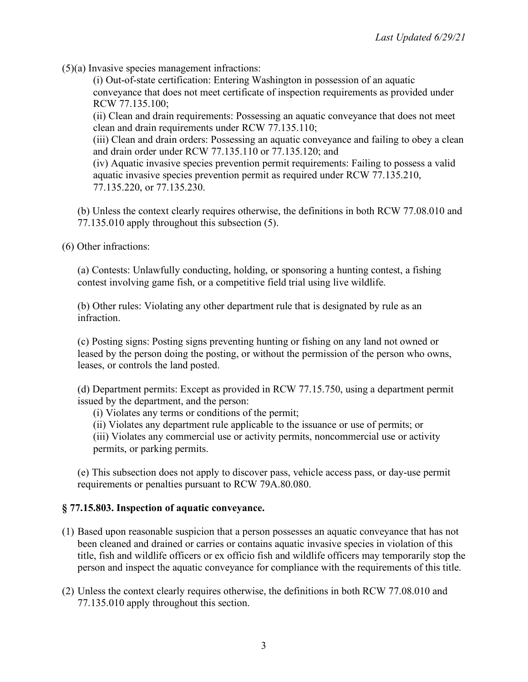(5)(a) Invasive species management infractions:

(i) Out-of-state certification: Entering Washington in possession of an aquatic conveyance that does not meet certificate of inspection requirements as provided under RCW 77.135.100;

(ii) Clean and drain requirements: Possessing an aquatic conveyance that does not meet clean and drain requirements under RCW 77.135.110;

(iii) Clean and drain orders: Possessing an aquatic conveyance and failing to obey a clean and drain order under RCW 77.135.110 or 77.135.120; and

(iv) Aquatic invasive species prevention permit requirements: Failing to possess a valid aquatic invasive species prevention permit as required under RCW 77.135.210, 77.135.220, or 77.135.230.

(b) Unless the context clearly requires otherwise, the definitions in both RCW 77.08.010 and 77.135.010 apply throughout this subsection (5).

(6) Other infractions:

(a) Contests: Unlawfully conducting, holding, or sponsoring a hunting contest, a fishing contest involving game fish, or a competitive field trial using live wildlife.

(b) Other rules: Violating any other department rule that is designated by rule as an infraction.

(c) Posting signs: Posting signs preventing hunting or fishing on any land not owned or leased by the person doing the posting, or without the permission of the person who owns, leases, or controls the land posted.

(d) Department permits: Except as provided in RCW 77.15.750, using a department permit issued by the department, and the person:

(i) Violates any terms or conditions of the permit;

(ii) Violates any department rule applicable to the issuance or use of permits; or

(iii) Violates any commercial use or activity permits, noncommercial use or activity permits, or parking permits.

(e) This subsection does not apply to discover pass, vehicle access pass, or day-use permit requirements or penalties pursuant to RCW 79A.80.080.

# **§ 77.15.803. Inspection of aquatic conveyance.**

- (1) Based upon reasonable suspicion that a person possesses an aquatic conveyance that has not been cleaned and drained or carries or contains aquatic invasive species in violation of this title, fish and wildlife officers or ex officio fish and wildlife officers may temporarily stop the person and inspect the aquatic conveyance for compliance with the requirements of this title.
- (2) Unless the context clearly requires otherwise, the definitions in both RCW 77.08.010 and 77.135.010 apply throughout this section.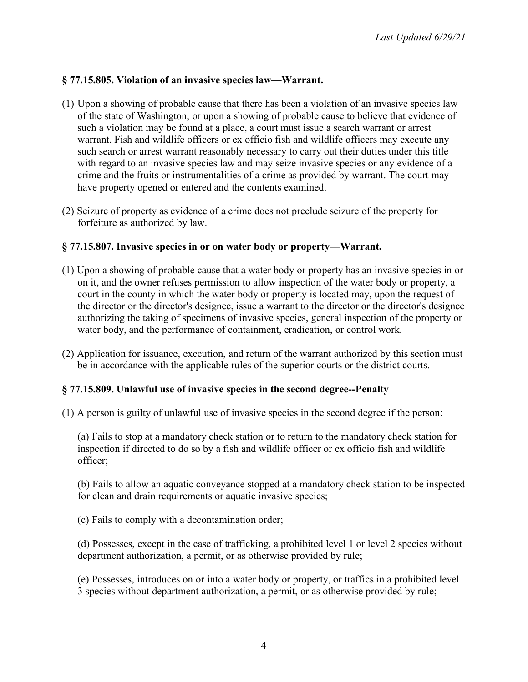## **§ 77.15.805. Violation of an invasive species law—Warrant.**

- (1) Upon a showing of probable cause that there has been a violation of an invasive species law of the state of Washington, or upon a showing of probable cause to believe that evidence of such a violation may be found at a place, a court must issue a search warrant or arrest warrant. Fish and wildlife officers or ex officio fish and wildlife officers may execute any such search or arrest warrant reasonably necessary to carry out their duties under this title with regard to an invasive species law and may seize invasive species or any evidence of a crime and the fruits or instrumentalities of a crime as provided by warrant. The court may have property opened or entered and the contents examined.
- (2) Seizure of property as evidence of a crime does not preclude seizure of the property for forfeiture as authorized by law.

### **§ 77.15.807. Invasive species in or on water body or property—Warrant.**

- (1) Upon a showing of probable cause that a water body or property has an invasive species in or on it, and the owner refuses permission to allow inspection of the water body or property, a court in the county in which the water body or property is located may, upon the request of the director or the director's designee, issue a warrant to the director or the director's designee authorizing the taking of specimens of invasive species, general inspection of the property or water body, and the performance of containment, eradication, or control work.
- (2) Application for issuance, execution, and return of the warrant authorized by this section must be in accordance with the applicable rules of the superior courts or the district courts.

### **§ 77.15.809. Unlawful use of invasive species in the second degree--Penalty**

(1) A person is guilty of unlawful use of invasive species in the second degree if the person:

(a) Fails to stop at a mandatory check station or to return to the mandatory check station for inspection if directed to do so by a fish and wildlife officer or ex officio fish and wildlife officer;

(b) Fails to allow an aquatic conveyance stopped at a mandatory check station to be inspected for clean and drain requirements or aquatic invasive species;

(c) Fails to comply with a decontamination order;

(d) Possesses, except in the case of trafficking, a prohibited level 1 or level 2 species without department authorization, a permit, or as otherwise provided by rule;

(e) Possesses, introduces on or into a water body or property, or traffics in a prohibited level 3 species without department authorization, a permit, or as otherwise provided by rule;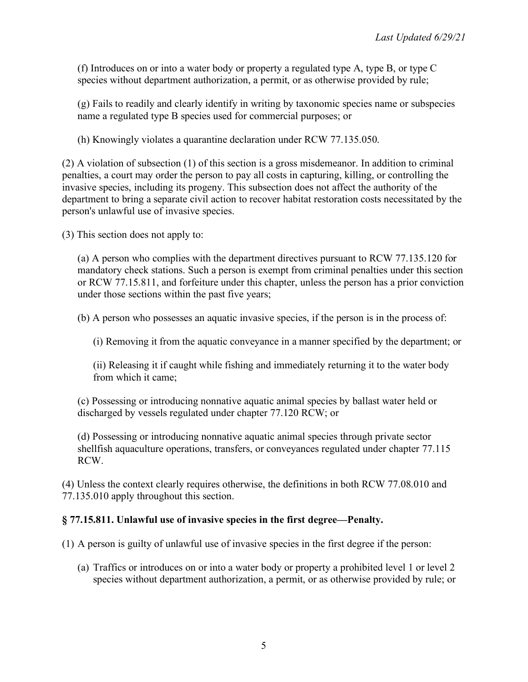(f) Introduces on or into a water body or property a regulated type A, type B, or type C species without department authorization, a permit, or as otherwise provided by rule;

(g) Fails to readily and clearly identify in writing by taxonomic species name or subspecies name a regulated type B species used for commercial purposes; or

(h) Knowingly violates a quarantine declaration under RCW 77.135.050.

(2) A violation of subsection (1) of this section is a gross misdemeanor. In addition to criminal penalties, a court may order the person to pay all costs in capturing, killing, or controlling the invasive species, including its progeny. This subsection does not affect the authority of the department to bring a separate civil action to recover habitat restoration costs necessitated by the person's unlawful use of invasive species.

(3) This section does not apply to:

(a) A person who complies with the department directives pursuant to RCW 77.135.120 for mandatory check stations. Such a person is exempt from criminal penalties under this section or RCW 77.15.811, and forfeiture under this chapter, unless the person has a prior conviction under those sections within the past five years;

(b) A person who possesses an aquatic invasive species, if the person is in the process of:

(i) Removing it from the aquatic conveyance in a manner specified by the department; or

(ii) Releasing it if caught while fishing and immediately returning it to the water body from which it came;

(c) Possessing or introducing nonnative aquatic animal species by ballast water held or discharged by vessels regulated under chapter 77.120 RCW; or

(d) Possessing or introducing nonnative aquatic animal species through private sector shellfish aquaculture operations, transfers, or conveyances regulated under chapter 77.115 RCW.

(4) Unless the context clearly requires otherwise, the definitions in both RCW 77.08.010 and 77.135.010 apply throughout this section.

# **§ 77.15.811. Unlawful use of invasive species in the first degree—Penalty.**

(1) A person is guilty of unlawful use of invasive species in the first degree if the person:

(a) Traffics or introduces on or into a water body or property a prohibited level 1 or level 2 species without department authorization, a permit, or as otherwise provided by rule; or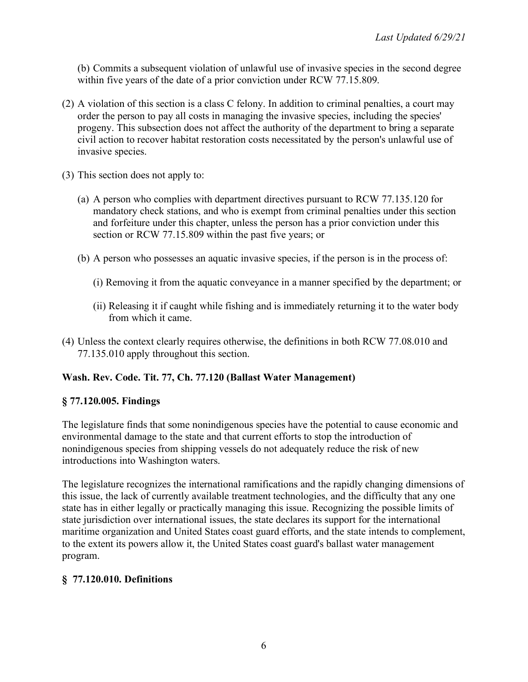(b) Commits a subsequent violation of unlawful use of invasive species in the second degree within five years of the date of a prior conviction under RCW 77.15.809.

- (2) A violation of this section is a class C felony. In addition to criminal penalties, a court may order the person to pay all costs in managing the invasive species, including the species' progeny. This subsection does not affect the authority of the department to bring a separate civil action to recover habitat restoration costs necessitated by the person's unlawful use of invasive species.
- (3) This section does not apply to:
	- (a) A person who complies with department directives pursuant to RCW 77.135.120 for mandatory check stations, and who is exempt from criminal penalties under this section and forfeiture under this chapter, unless the person has a prior conviction under this section or RCW 77.15.809 within the past five years; or
	- (b) A person who possesses an aquatic invasive species, if the person is in the process of:
		- (i) Removing it from the aquatic conveyance in a manner specified by the department; or
		- (ii) Releasing it if caught while fishing and is immediately returning it to the water body from which it came.
- (4) Unless the context clearly requires otherwise, the definitions in both RCW 77.08.010 and 77.135.010 apply throughout this section.

# **Wash. Rev. Code. Tit. 77, Ch. 77.120 (Ballast Water Management)**

# **§ 77.120.005. Findings**

The legislature finds that some nonindigenous species have the potential to cause economic and environmental damage to the state and that current efforts to stop the introduction of nonindigenous species from shipping vessels do not adequately reduce the risk of new introductions into Washington waters.

The legislature recognizes the international ramifications and the rapidly changing dimensions of this issue, the lack of currently available treatment technologies, and the difficulty that any one state has in either legally or practically managing this issue. Recognizing the possible limits of state jurisdiction over international issues, the state declares its support for the international maritime organization and United States coast guard efforts, and the state intends to complement, to the extent its powers allow it, the United States coast guard's ballast water management program.

### **§ 77.120.010. Definitions**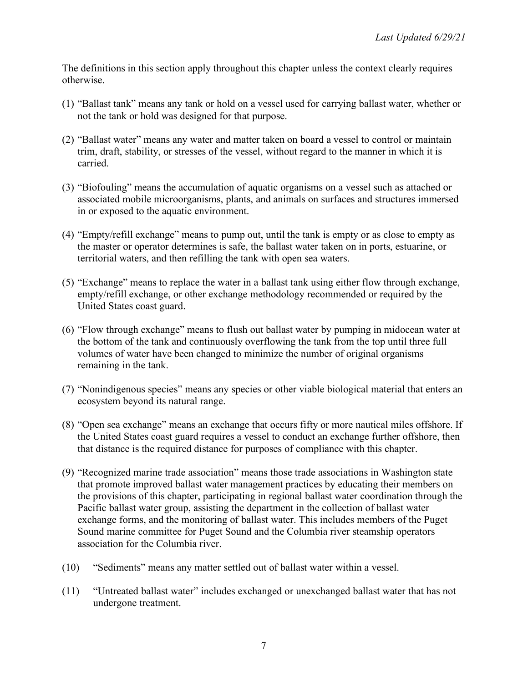The definitions in this section apply throughout this chapter unless the context clearly requires otherwise.

- (1) "Ballast tank" means any tank or hold on a vessel used for carrying ballast water, whether or not the tank or hold was designed for that purpose.
- (2) "Ballast water" means any water and matter taken on board a vessel to control or maintain trim, draft, stability, or stresses of the vessel, without regard to the manner in which it is carried.
- (3) "Biofouling" means the accumulation of aquatic organisms on a vessel such as attached or associated mobile microorganisms, plants, and animals on surfaces and structures immersed in or exposed to the aquatic environment.
- (4) "Empty/refill exchange" means to pump out, until the tank is empty or as close to empty as the master or operator determines is safe, the ballast water taken on in ports, estuarine, or territorial waters, and then refilling the tank with open sea waters.
- (5) "Exchange" means to replace the water in a ballast tank using either flow through exchange, empty/refill exchange, or other exchange methodology recommended or required by the United States coast guard.
- (6) "Flow through exchange" means to flush out ballast water by pumping in midocean water at the bottom of the tank and continuously overflowing the tank from the top until three full volumes of water have been changed to minimize the number of original organisms remaining in the tank.
- (7) "Nonindigenous species" means any species or other viable biological material that enters an ecosystem beyond its natural range.
- (8) "Open sea exchange" means an exchange that occurs fifty or more nautical miles offshore. If the United States coast guard requires a vessel to conduct an exchange further offshore, then that distance is the required distance for purposes of compliance with this chapter.
- (9) "Recognized marine trade association" means those trade associations in Washington state that promote improved ballast water management practices by educating their members on the provisions of this chapter, participating in regional ballast water coordination through the Pacific ballast water group, assisting the department in the collection of ballast water exchange forms, and the monitoring of ballast water. This includes members of the Puget Sound marine committee for Puget Sound and the Columbia river steamship operators association for the Columbia river.
- (10) "Sediments" means any matter settled out of ballast water within a vessel.
- (11) "Untreated ballast water" includes exchanged or unexchanged ballast water that has not undergone treatment.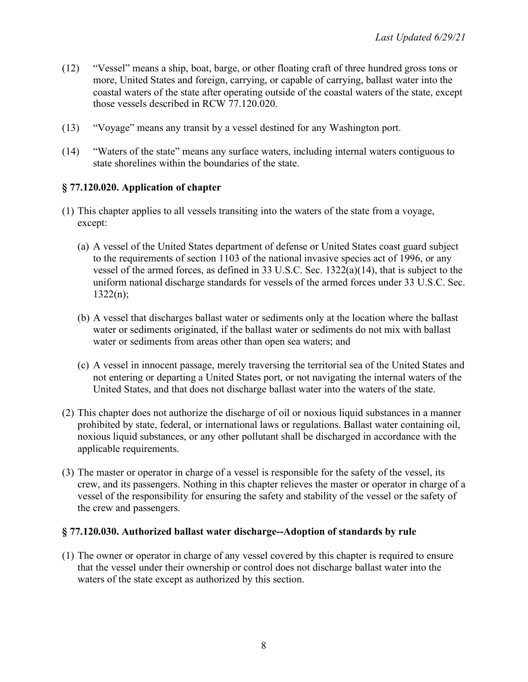- (12) "Vessel" means a ship, boat, barge, or other floating craft of three hundred gross tons or more, United States and foreign, carrying, or capable of carrying, ballast water into the coastal waters of the state after operating outside of the coastal waters of the state, except those vessels described in RCW 77.120.020.
- (13) "Voyage" means any transit by a vessel destined for any Washington port.
- (14) "Waters of the state" means any surface waters, including internal waters contiguous to state shorelines within the boundaries of the state.

## **§ 77.120.020. Application of chapter**

- (1) This chapter applies to all vessels transiting into the waters of the state from a voyage, except:
	- (a) A vessel of the United States department of defense or United States coast guard subject to the requirements of section 1103 of the national invasive species act of 1996, or any vessel of the armed forces, as defined in 33 U.S.C. Sec. 1322(a)(14), that is subject to the uniform national discharge standards for vessels of the armed forces under 33 U.S.C. Sec.  $1322(n);$
	- (b) A vessel that discharges ballast water or sediments only at the location where the ballast water or sediments originated, if the ballast water or sediments do not mix with ballast water or sediments from areas other than open sea waters; and
	- (c) A vessel in innocent passage, merely traversing the territorial sea of the United States and not entering or departing a United States port, or not navigating the internal waters of the United States, and that does not discharge ballast water into the waters of the state.
- (2) This chapter does not authorize the discharge of oil or noxious liquid substances in a manner prohibited by state, federal, or international laws or regulations. Ballast water containing oil, noxious liquid substances, or any other pollutant shall be discharged in accordance with the applicable requirements.
- (3) The master or operator in charge of a vessel is responsible for the safety of the vessel, its crew, and its passengers. Nothing in this chapter relieves the master or operator in charge of a vessel of the responsibility for ensuring the safety and stability of the vessel or the safety of the crew and passengers.

### **§ 77.120.030. Authorized ballast water discharge--Adoption of standards by rule**

(1) The owner or operator in charge of any vessel covered by this chapter is required to ensure that the vessel under their ownership or control does not discharge ballast water into the waters of the state except as authorized by this section.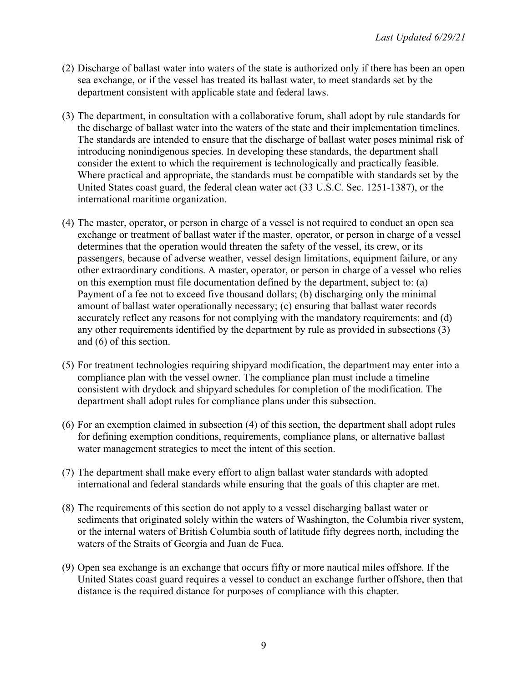- (2) Discharge of ballast water into waters of the state is authorized only if there has been an open sea exchange, or if the vessel has treated its ballast water, to meet standards set by the department consistent with applicable state and federal laws.
- (3) The department, in consultation with a collaborative forum, shall adopt by rule standards for the discharge of ballast water into the waters of the state and their implementation timelines. The standards are intended to ensure that the discharge of ballast water poses minimal risk of introducing nonindigenous species. In developing these standards, the department shall consider the extent to which the requirement is technologically and practically feasible. Where practical and appropriate, the standards must be compatible with standards set by the United States coast guard, the federal clean water act (33 U.S.C. Sec. 1251-1387), or the international maritime organization.
- (4) The master, operator, or person in charge of a vessel is not required to conduct an open sea exchange or treatment of ballast water if the master, operator, or person in charge of a vessel determines that the operation would threaten the safety of the vessel, its crew, or its passengers, because of adverse weather, vessel design limitations, equipment failure, or any other extraordinary conditions. A master, operator, or person in charge of a vessel who relies on this exemption must file documentation defined by the department, subject to: (a) Payment of a fee not to exceed five thousand dollars; (b) discharging only the minimal amount of ballast water operationally necessary; (c) ensuring that ballast water records accurately reflect any reasons for not complying with the mandatory requirements; and (d) any other requirements identified by the department by rule as provided in subsections (3) and (6) of this section.
- (5) For treatment technologies requiring shipyard modification, the department may enter into a compliance plan with the vessel owner. The compliance plan must include a timeline consistent with drydock and shipyard schedules for completion of the modification. The department shall adopt rules for compliance plans under this subsection.
- (6) For an exemption claimed in subsection (4) of this section, the department shall adopt rules for defining exemption conditions, requirements, compliance plans, or alternative ballast water management strategies to meet the intent of this section.
- (7) The department shall make every effort to align ballast water standards with adopted international and federal standards while ensuring that the goals of this chapter are met.
- (8) The requirements of this section do not apply to a vessel discharging ballast water or sediments that originated solely within the waters of Washington, the Columbia river system, or the internal waters of British Columbia south of latitude fifty degrees north, including the waters of the Straits of Georgia and Juan de Fuca.
- (9) Open sea exchange is an exchange that occurs fifty or more nautical miles offshore. If the United States coast guard requires a vessel to conduct an exchange further offshore, then that distance is the required distance for purposes of compliance with this chapter.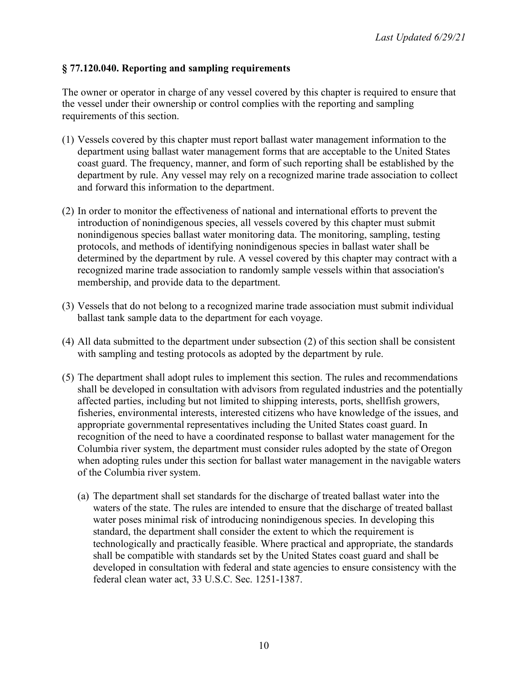# **§ 77.120.040. Reporting and sampling requirements**

The owner or operator in charge of any vessel covered by this chapter is required to ensure that the vessel under their ownership or control complies with the reporting and sampling requirements of this section.

- (1) Vessels covered by this chapter must report ballast water management information to the department using ballast water management forms that are acceptable to the United States coast guard. The frequency, manner, and form of such reporting shall be established by the department by rule. Any vessel may rely on a recognized marine trade association to collect and forward this information to the department.
- (2) In order to monitor the effectiveness of national and international efforts to prevent the introduction of nonindigenous species, all vessels covered by this chapter must submit nonindigenous species ballast water monitoring data. The monitoring, sampling, testing protocols, and methods of identifying nonindigenous species in ballast water shall be determined by the department by rule. A vessel covered by this chapter may contract with a recognized marine trade association to randomly sample vessels within that association's membership, and provide data to the department.
- (3) Vessels that do not belong to a recognized marine trade association must submit individual ballast tank sample data to the department for each voyage.
- (4) All data submitted to the department under subsection (2) of this section shall be consistent with sampling and testing protocols as adopted by the department by rule.
- (5) The department shall adopt rules to implement this section. The rules and recommendations shall be developed in consultation with advisors from regulated industries and the potentially affected parties, including but not limited to shipping interests, ports, shellfish growers, fisheries, environmental interests, interested citizens who have knowledge of the issues, and appropriate governmental representatives including the United States coast guard. In recognition of the need to have a coordinated response to ballast water management for the Columbia river system, the department must consider rules adopted by the state of Oregon when adopting rules under this section for ballast water management in the navigable waters of the Columbia river system.
	- (a) The department shall set standards for the discharge of treated ballast water into the waters of the state. The rules are intended to ensure that the discharge of treated ballast water poses minimal risk of introducing nonindigenous species. In developing this standard, the department shall consider the extent to which the requirement is technologically and practically feasible. Where practical and appropriate, the standards shall be compatible with standards set by the United States coast guard and shall be developed in consultation with federal and state agencies to ensure consistency with the federal clean water act, 33 U.S.C. Sec. 1251-1387.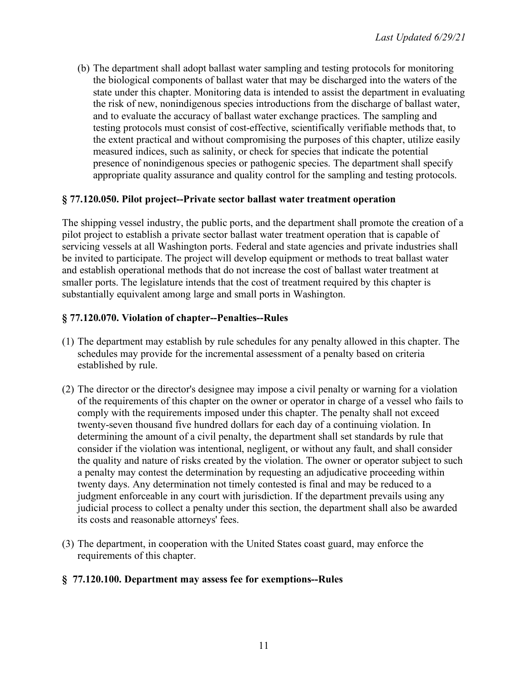(b) The department shall adopt ballast water sampling and testing protocols for monitoring the biological components of ballast water that may be discharged into the waters of the state under this chapter. Monitoring data is intended to assist the department in evaluating the risk of new, nonindigenous species introductions from the discharge of ballast water, and to evaluate the accuracy of ballast water exchange practices. The sampling and testing protocols must consist of cost-effective, scientifically verifiable methods that, to the extent practical and without compromising the purposes of this chapter, utilize easily measured indices, such as salinity, or check for species that indicate the potential presence of nonindigenous species or pathogenic species. The department shall specify appropriate quality assurance and quality control for the sampling and testing protocols.

## **§ 77.120.050. Pilot project--Private sector ballast water treatment operation**

The shipping vessel industry, the public ports, and the department shall promote the creation of a pilot project to establish a private sector ballast water treatment operation that is capable of servicing vessels at all Washington ports. Federal and state agencies and private industries shall be invited to participate. The project will develop equipment or methods to treat ballast water and establish operational methods that do not increase the cost of ballast water treatment at smaller ports. The legislature intends that the cost of treatment required by this chapter is substantially equivalent among large and small ports in Washington.

## **§ 77.120.070. Violation of chapter--Penalties--Rules**

- (1) The department may establish by rule schedules for any penalty allowed in this chapter. The schedules may provide for the incremental assessment of a penalty based on criteria established by rule.
- (2) The director or the director's designee may impose a civil penalty or warning for a violation of the requirements of this chapter on the owner or operator in charge of a vessel who fails to comply with the requirements imposed under this chapter. The penalty shall not exceed twenty-seven thousand five hundred dollars for each day of a continuing violation. In determining the amount of a civil penalty, the department shall set standards by rule that consider if the violation was intentional, negligent, or without any fault, and shall consider the quality and nature of risks created by the violation. The owner or operator subject to such a penalty may contest the determination by requesting an adjudicative proceeding within twenty days. Any determination not timely contested is final and may be reduced to a judgment enforceable in any court with jurisdiction. If the department prevails using any judicial process to collect a penalty under this section, the department shall also be awarded its costs and reasonable attorneys' fees.
- (3) The department, in cooperation with the United States coast guard, may enforce the requirements of this chapter.

### **§ 77.120.100. Department may assess fee for exemptions--Rules**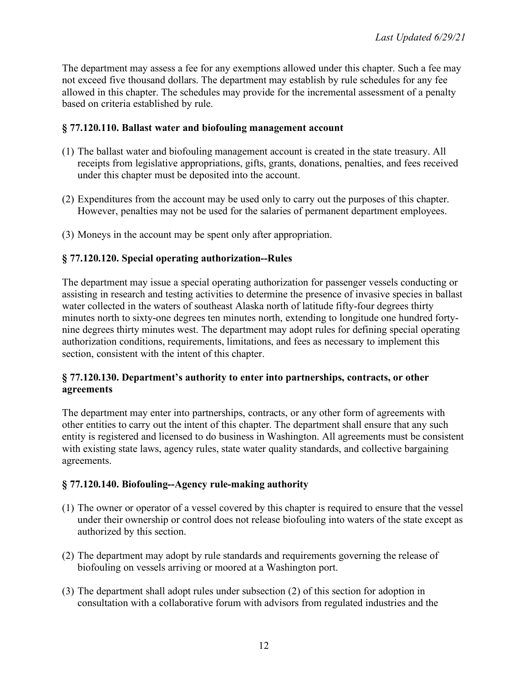The department may assess a fee for any exemptions allowed under this chapter. Such a fee may not exceed five thousand dollars. The department may establish by rule schedules for any fee allowed in this chapter. The schedules may provide for the incremental assessment of a penalty based on criteria established by rule.

### **§ 77.120.110. Ballast water and biofouling management account**

- (1) The ballast water and biofouling management account is created in the state treasury. All receipts from legislative appropriations, gifts, grants, donations, penalties, and fees received under this chapter must be deposited into the account.
- (2) Expenditures from the account may be used only to carry out the purposes of this chapter. However, penalties may not be used for the salaries of permanent department employees.
- (3) Moneys in the account may be spent only after appropriation.

# **§ 77.120.120. Special operating authorization--Rules**

The department may issue a special operating authorization for passenger vessels conducting or assisting in research and testing activities to determine the presence of invasive species in ballast water collected in the waters of southeast Alaska north of latitude fifty-four degrees thirty minutes north to sixty-one degrees ten minutes north, extending to longitude one hundred fortynine degrees thirty minutes west. The department may adopt rules for defining special operating authorization conditions, requirements, limitations, and fees as necessary to implement this section, consistent with the intent of this chapter.

### **§ 77.120.130. Department's authority to enter into partnerships, contracts, or other agreements**

The department may enter into partnerships, contracts, or any other form of agreements with other entities to carry out the intent of this chapter. The department shall ensure that any such entity is registered and licensed to do business in Washington. All agreements must be consistent with existing state laws, agency rules, state water quality standards, and collective bargaining agreements.

### **§ 77.120.140. Biofouling--Agency rule-making authority**

- (1) The owner or operator of a vessel covered by this chapter is required to ensure that the vessel under their ownership or control does not release biofouling into waters of the state except as authorized by this section.
- (2) The department may adopt by rule standards and requirements governing the release of biofouling on vessels arriving or moored at a Washington port.
- (3) The department shall adopt rules under subsection (2) of this section for adoption in consultation with a collaborative forum with advisors from regulated industries and the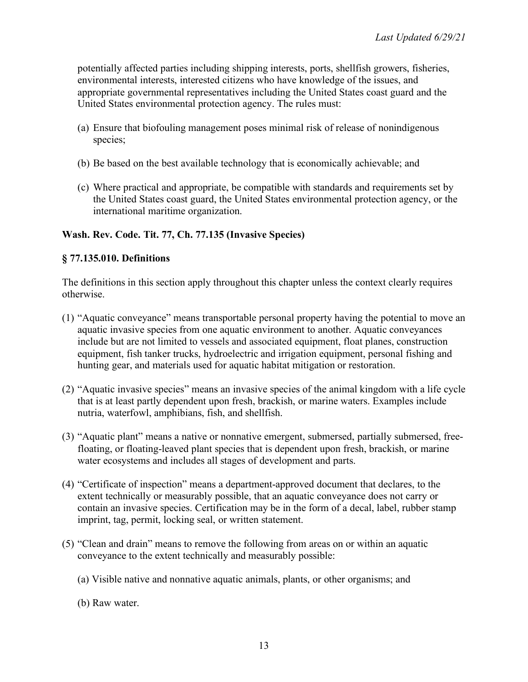potentially affected parties including shipping interests, ports, shellfish growers, fisheries, environmental interests, interested citizens who have knowledge of the issues, and appropriate governmental representatives including the United States coast guard and the United States environmental protection agency. The rules must:

- (a) Ensure that biofouling management poses minimal risk of release of nonindigenous species;
- (b) Be based on the best available technology that is economically achievable; and
- (c) Where practical and appropriate, be compatible with standards and requirements set by the United States coast guard, the United States environmental protection agency, or the international maritime organization.

## **Wash. Rev. Code. Tit. 77, Ch. 77.135 (Invasive Species)**

## **§ 77.135.010. Definitions**

The definitions in this section apply throughout this chapter unless the context clearly requires otherwise.

- (1) "Aquatic conveyance" means transportable personal property having the potential to move an aquatic invasive species from one aquatic environment to another. Aquatic conveyances include but are not limited to vessels and associated equipment, float planes, construction equipment, fish tanker trucks, hydroelectric and irrigation equipment, personal fishing and hunting gear, and materials used for aquatic habitat mitigation or restoration.
- (2) "Aquatic invasive species" means an invasive species of the animal kingdom with a life cycle that is at least partly dependent upon fresh, brackish, or marine waters. Examples include nutria, waterfowl, amphibians, fish, and shellfish.
- (3) "Aquatic plant" means a native or nonnative emergent, submersed, partially submersed, freefloating, or floating-leaved plant species that is dependent upon fresh, brackish, or marine water ecosystems and includes all stages of development and parts.
- (4) "Certificate of inspection" means a department-approved document that declares, to the extent technically or measurably possible, that an aquatic conveyance does not carry or contain an invasive species. Certification may be in the form of a decal, label, rubber stamp imprint, tag, permit, locking seal, or written statement.
- (5) "Clean and drain" means to remove the following from areas on or within an aquatic conveyance to the extent technically and measurably possible:
	- (a) Visible native and nonnative aquatic animals, plants, or other organisms; and
	- (b) Raw water.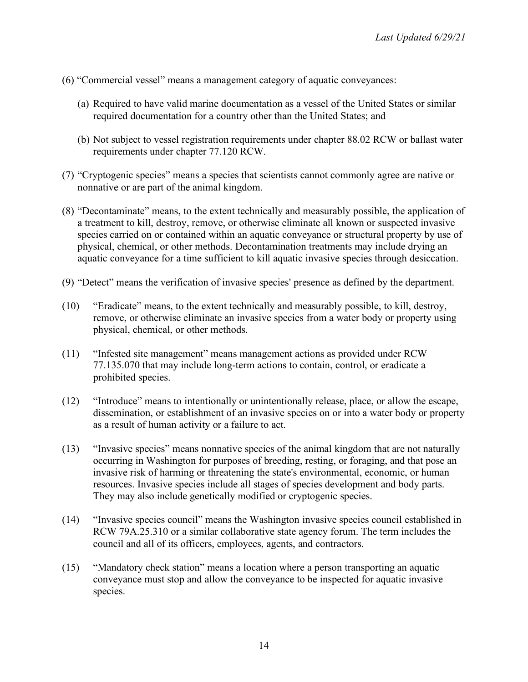- (6) "Commercial vessel" means a management category of aquatic conveyances:
	- (a) Required to have valid marine documentation as a vessel of the United States or similar required documentation for a country other than the United States; and
	- (b) Not subject to vessel registration requirements under chapter 88.02 RCW or ballast water requirements under chapter 77.120 RCW.
- (7) "Cryptogenic species" means a species that scientists cannot commonly agree are native or nonnative or are part of the animal kingdom.
- (8) "Decontaminate" means, to the extent technically and measurably possible, the application of a treatment to kill, destroy, remove, or otherwise eliminate all known or suspected invasive species carried on or contained within an aquatic conveyance or structural property by use of physical, chemical, or other methods. Decontamination treatments may include drying an aquatic conveyance for a time sufficient to kill aquatic invasive species through desiccation.
- (9) "Detect" means the verification of invasive species' presence as defined by the department.
- (10) "Eradicate" means, to the extent technically and measurably possible, to kill, destroy, remove, or otherwise eliminate an invasive species from a water body or property using physical, chemical, or other methods.
- (11) "Infested site management" means management actions as provided under RCW 77.135.070 that may include long-term actions to contain, control, or eradicate a prohibited species.
- (12) "Introduce" means to intentionally or unintentionally release, place, or allow the escape, dissemination, or establishment of an invasive species on or into a water body or property as a result of human activity or a failure to act.
- (13) "Invasive species" means nonnative species of the animal kingdom that are not naturally occurring in Washington for purposes of breeding, resting, or foraging, and that pose an invasive risk of harming or threatening the state's environmental, economic, or human resources. Invasive species include all stages of species development and body parts. They may also include genetically modified or cryptogenic species.
- (14) "Invasive species council" means the Washington invasive species council established in RCW 79A.25.310 or a similar collaborative state agency forum. The term includes the council and all of its officers, employees, agents, and contractors.
- (15) "Mandatory check station" means a location where a person transporting an aquatic conveyance must stop and allow the conveyance to be inspected for aquatic invasive species.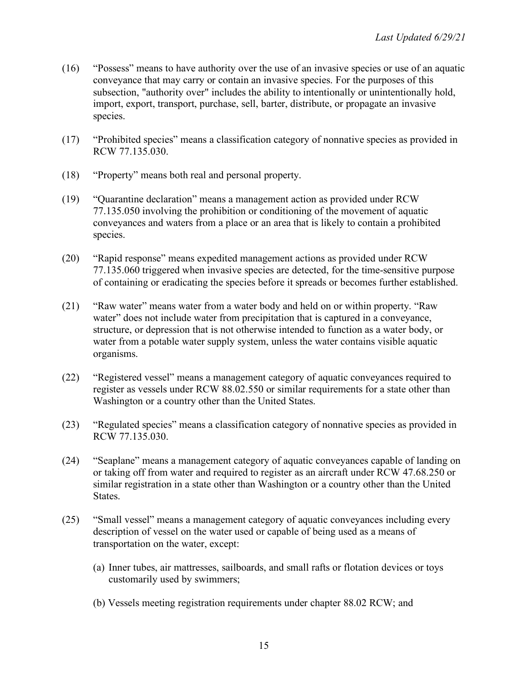- (16) "Possess" means to have authority over the use of an invasive species or use of an aquatic conveyance that may carry or contain an invasive species. For the purposes of this subsection, "authority over" includes the ability to intentionally or unintentionally hold, import, export, transport, purchase, sell, barter, distribute, or propagate an invasive species.
- (17) "Prohibited species" means a classification category of nonnative species as provided in RCW 77.135.030.
- (18) "Property" means both real and personal property.
- (19) "Quarantine declaration" means a management action as provided under RCW 77.135.050 involving the prohibition or conditioning of the movement of aquatic conveyances and waters from a place or an area that is likely to contain a prohibited species.
- (20) "Rapid response" means expedited management actions as provided under RCW 77.135.060 triggered when invasive species are detected, for the time-sensitive purpose of containing or eradicating the species before it spreads or becomes further established.
- (21) "Raw water" means water from a water body and held on or within property. "Raw water" does not include water from precipitation that is captured in a conveyance, structure, or depression that is not otherwise intended to function as a water body, or water from a potable water supply system, unless the water contains visible aquatic organisms.
- (22) "Registered vessel" means a management category of aquatic conveyances required to register as vessels under RCW 88.02.550 or similar requirements for a state other than Washington or a country other than the United States.
- (23) "Regulated species" means a classification category of nonnative species as provided in RCW 77.135.030.
- (24) "Seaplane" means a management category of aquatic conveyances capable of landing on or taking off from water and required to register as an aircraft under RCW 47.68.250 or similar registration in a state other than Washington or a country other than the United States.
- (25) "Small vessel" means a management category of aquatic conveyances including every description of vessel on the water used or capable of being used as a means of transportation on the water, except:
	- (a) Inner tubes, air mattresses, sailboards, and small rafts or flotation devices or toys customarily used by swimmers;
	- (b) Vessels meeting registration requirements under chapter 88.02 RCW; and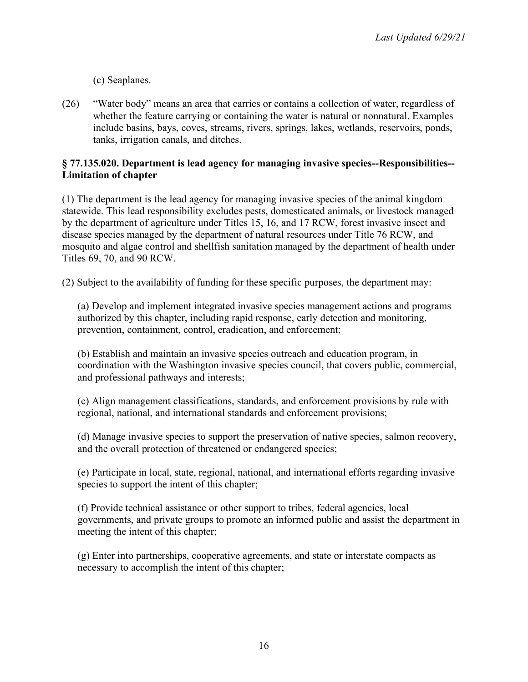(c) Seaplanes.

(26) "Water body" means an area that carries or contains a collection of water, regardless of whether the feature carrying or containing the water is natural or nonnatural. Examples include basins, bays, coves, streams, rivers, springs, lakes, wetlands, reservoirs, ponds, tanks, irrigation canals, and ditches.

## **§ 77.135.020. Department is lead agency for managing invasive species--Responsibilities-- Limitation of chapter**

(1) The department is the lead agency for managing invasive species of the animal kingdom statewide. This lead responsibility excludes pests, domesticated animals, or livestock managed by the department of agriculture under Titles 15, 16, and 17 RCW, forest invasive insect and disease species managed by the department of natural resources under Title 76 RCW, and mosquito and algae control and shellfish sanitation managed by the department of health under Titles 69, 70, and 90 RCW.

(2) Subject to the availability of funding for these specific purposes, the department may:

(a) Develop and implement integrated invasive species management actions and programs authorized by this chapter, including rapid response, early detection and monitoring, prevention, containment, control, eradication, and enforcement;

(b) Establish and maintain an invasive species outreach and education program, in coordination with the Washington invasive species council, that covers public, commercial, and professional pathways and interests;

(c) Align management classifications, standards, and enforcement provisions by rule with regional, national, and international standards and enforcement provisions;

(d) Manage invasive species to support the preservation of native species, salmon recovery, and the overall protection of threatened or endangered species;

(e) Participate in local, state, regional, national, and international efforts regarding invasive species to support the intent of this chapter;

(f) Provide technical assistance or other support to tribes, federal agencies, local governments, and private groups to promote an informed public and assist the department in meeting the intent of this chapter;

(g) Enter into partnerships, cooperative agreements, and state or interstate compacts as necessary to accomplish the intent of this chapter;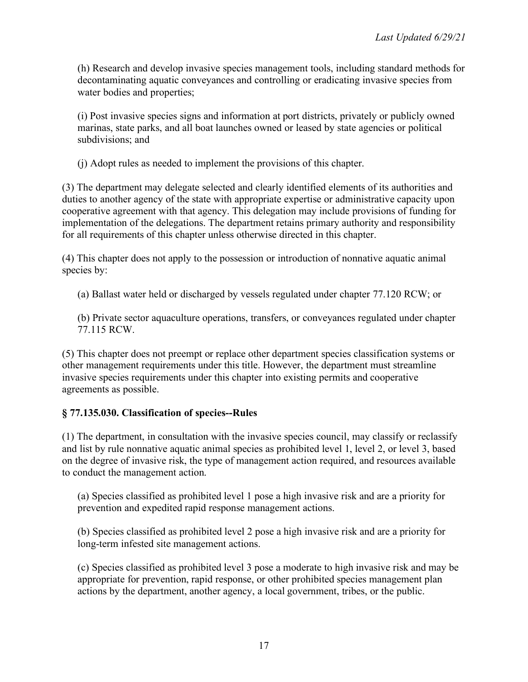(h) Research and develop invasive species management tools, including standard methods for decontaminating aquatic conveyances and controlling or eradicating invasive species from water bodies and properties;

(i) Post invasive species signs and information at port districts, privately or publicly owned marinas, state parks, and all boat launches owned or leased by state agencies or political subdivisions; and

(j) Adopt rules as needed to implement the provisions of this chapter.

(3) The department may delegate selected and clearly identified elements of its authorities and duties to another agency of the state with appropriate expertise or administrative capacity upon cooperative agreement with that agency. This delegation may include provisions of funding for implementation of the delegations. The department retains primary authority and responsibility for all requirements of this chapter unless otherwise directed in this chapter.

(4) This chapter does not apply to the possession or introduction of nonnative aquatic animal species by:

(a) Ballast water held or discharged by vessels regulated under chapter 77.120 RCW; or

(b) Private sector aquaculture operations, transfers, or conveyances regulated under chapter 77.115 RCW.

(5) This chapter does not preempt or replace other department species classification systems or other management requirements under this title. However, the department must streamline invasive species requirements under this chapter into existing permits and cooperative agreements as possible.

# **§ 77.135.030. Classification of species--Rules**

(1) The department, in consultation with the invasive species council, may classify or reclassify and list by rule nonnative aquatic animal species as prohibited level 1, level 2, or level 3, based on the degree of invasive risk, the type of management action required, and resources available to conduct the management action.

(a) Species classified as prohibited level 1 pose a high invasive risk and are a priority for prevention and expedited rapid response management actions.

(b) Species classified as prohibited level 2 pose a high invasive risk and are a priority for long-term infested site management actions.

(c) Species classified as prohibited level 3 pose a moderate to high invasive risk and may be appropriate for prevention, rapid response, or other prohibited species management plan actions by the department, another agency, a local government, tribes, or the public.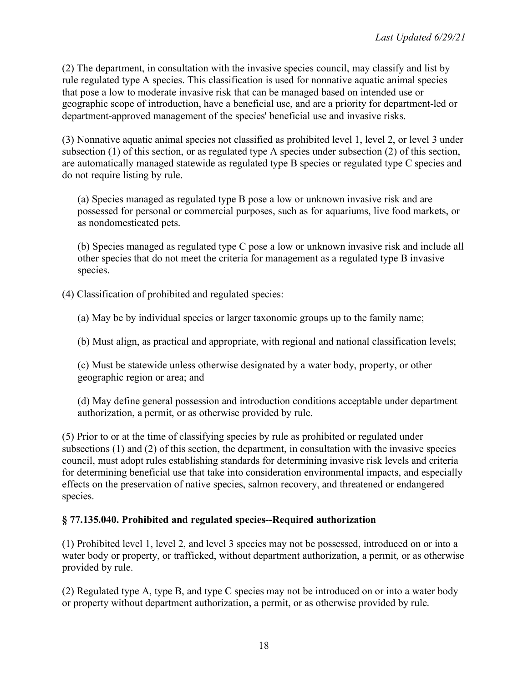(2) The department, in consultation with the invasive species council, may classify and list by rule regulated type A species. This classification is used for nonnative aquatic animal species that pose a low to moderate invasive risk that can be managed based on intended use or geographic scope of introduction, have a beneficial use, and are a priority for department-led or department-approved management of the species' beneficial use and invasive risks.

(3) Nonnative aquatic animal species not classified as prohibited level 1, level 2, or level 3 under subsection (1) of this section, or as regulated type A species under subsection (2) of this section, are automatically managed statewide as regulated type B species or regulated type C species and do not require listing by rule.

(a) Species managed as regulated type B pose a low or unknown invasive risk and are possessed for personal or commercial purposes, such as for aquariums, live food markets, or as nondomesticated pets.

(b) Species managed as regulated type C pose a low or unknown invasive risk and include all other species that do not meet the criteria for management as a regulated type B invasive species.

(4) Classification of prohibited and regulated species:

(a) May be by individual species or larger taxonomic groups up to the family name;

(b) Must align, as practical and appropriate, with regional and national classification levels;

(c) Must be statewide unless otherwise designated by a water body, property, or other geographic region or area; and

(d) May define general possession and introduction conditions acceptable under department authorization, a permit, or as otherwise provided by rule.

(5) Prior to or at the time of classifying species by rule as prohibited or regulated under subsections (1) and (2) of this section, the department, in consultation with the invasive species council, must adopt rules establishing standards for determining invasive risk levels and criteria for determining beneficial use that take into consideration environmental impacts, and especially effects on the preservation of native species, salmon recovery, and threatened or endangered species.

# **§ 77.135.040. Prohibited and regulated species--Required authorization**

(1) Prohibited level 1, level 2, and level 3 species may not be possessed, introduced on or into a water body or property, or trafficked, without department authorization, a permit, or as otherwise provided by rule.

(2) Regulated type A, type B, and type C species may not be introduced on or into a water body or property without department authorization, a permit, or as otherwise provided by rule.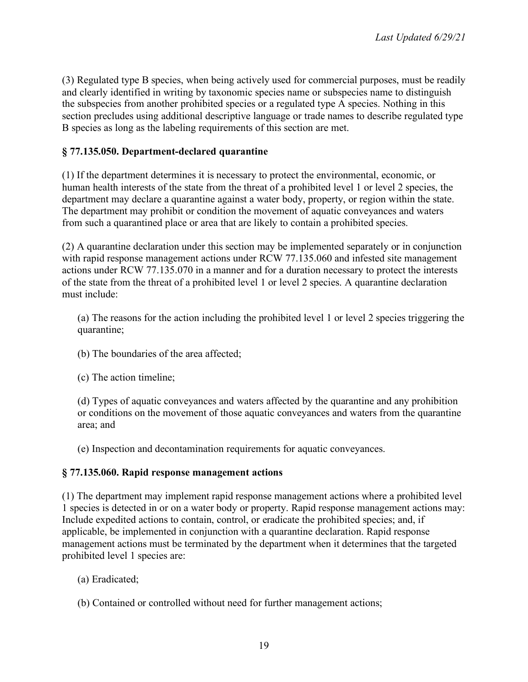(3) Regulated type B species, when being actively used for commercial purposes, must be readily and clearly identified in writing by taxonomic species name or subspecies name to distinguish the subspecies from another prohibited species or a regulated type A species. Nothing in this section precludes using additional descriptive language or trade names to describe regulated type B species as long as the labeling requirements of this section are met.

# **§ 77.135.050. Department-declared quarantine**

(1) If the department determines it is necessary to protect the environmental, economic, or human health interests of the state from the threat of a prohibited level 1 or level 2 species, the department may declare a quarantine against a water body, property, or region within the state. The department may prohibit or condition the movement of aquatic conveyances and waters from such a quarantined place or area that are likely to contain a prohibited species.

(2) A quarantine declaration under this section may be implemented separately or in conjunction with rapid response management actions under RCW 77.135.060 and infested site management actions under RCW 77.135.070 in a manner and for a duration necessary to protect the interests of the state from the threat of a prohibited level 1 or level 2 species. A quarantine declaration must include:

(a) The reasons for the action including the prohibited level 1 or level 2 species triggering the quarantine;

- (b) The boundaries of the area affected;
- (c) The action timeline;

(d) Types of aquatic conveyances and waters affected by the quarantine and any prohibition or conditions on the movement of those aquatic conveyances and waters from the quarantine area; and

(e) Inspection and decontamination requirements for aquatic conveyances.

# **§ 77.135.060. Rapid response management actions**

(1) The department may implement rapid response management actions where a prohibited level 1 species is detected in or on a water body or property. Rapid response management actions may: Include expedited actions to contain, control, or eradicate the prohibited species; and, if applicable, be implemented in conjunction with a quarantine declaration. Rapid response management actions must be terminated by the department when it determines that the targeted prohibited level 1 species are:

- (a) Eradicated;
- (b) Contained or controlled without need for further management actions;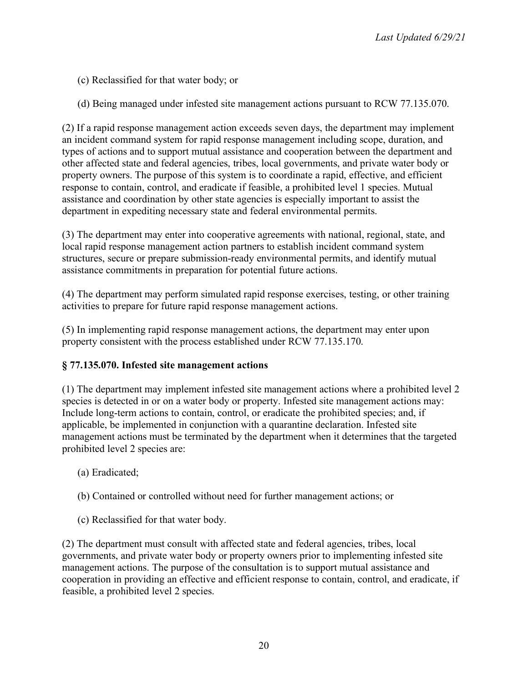(c) Reclassified for that water body; or

(d) Being managed under infested site management actions pursuant to RCW 77.135.070.

(2) If a rapid response management action exceeds seven days, the department may implement an incident command system for rapid response management including scope, duration, and types of actions and to support mutual assistance and cooperation between the department and other affected state and federal agencies, tribes, local governments, and private water body or property owners. The purpose of this system is to coordinate a rapid, effective, and efficient response to contain, control, and eradicate if feasible, a prohibited level 1 species. Mutual assistance and coordination by other state agencies is especially important to assist the department in expediting necessary state and federal environmental permits.

(3) The department may enter into cooperative agreements with national, regional, state, and local rapid response management action partners to establish incident command system structures, secure or prepare submission-ready environmental permits, and identify mutual assistance commitments in preparation for potential future actions.

(4) The department may perform simulated rapid response exercises, testing, or other training activities to prepare for future rapid response management actions.

(5) In implementing rapid response management actions, the department may enter upon property consistent with the process established under RCW 77.135.170.

### **§ 77.135.070. Infested site management actions**

(1) The department may implement infested site management actions where a prohibited level 2 species is detected in or on a water body or property. Infested site management actions may: Include long-term actions to contain, control, or eradicate the prohibited species; and, if applicable, be implemented in conjunction with a quarantine declaration. Infested site management actions must be terminated by the department when it determines that the targeted prohibited level 2 species are:

- (a) Eradicated;
- (b) Contained or controlled without need for further management actions; or
- (c) Reclassified for that water body.

(2) The department must consult with affected state and federal agencies, tribes, local governments, and private water body or property owners prior to implementing infested site management actions. The purpose of the consultation is to support mutual assistance and cooperation in providing an effective and efficient response to contain, control, and eradicate, if feasible, a prohibited level 2 species.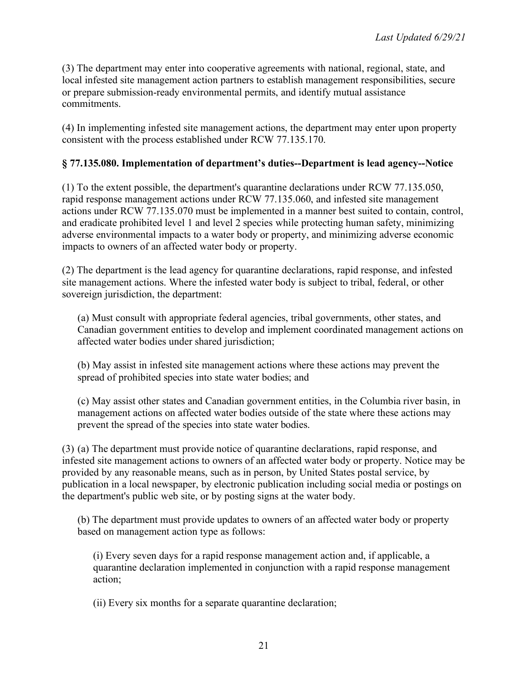(3) The department may enter into cooperative agreements with national, regional, state, and local infested site management action partners to establish management responsibilities, secure or prepare submission-ready environmental permits, and identify mutual assistance commitments.

(4) In implementing infested site management actions, the department may enter upon property consistent with the process established under RCW 77.135.170.

## **§ 77.135.080. Implementation of department's duties--Department is lead agency--Notice**

(1) To the extent possible, the department's quarantine declarations under RCW 77.135.050, rapid response management actions under RCW 77.135.060, and infested site management actions under RCW 77.135.070 must be implemented in a manner best suited to contain, control, and eradicate prohibited level 1 and level 2 species while protecting human safety, minimizing adverse environmental impacts to a water body or property, and minimizing adverse economic impacts to owners of an affected water body or property.

(2) The department is the lead agency for quarantine declarations, rapid response, and infested site management actions. Where the infested water body is subject to tribal, federal, or other sovereign jurisdiction, the department:

(a) Must consult with appropriate federal agencies, tribal governments, other states, and Canadian government entities to develop and implement coordinated management actions on affected water bodies under shared jurisdiction;

(b) May assist in infested site management actions where these actions may prevent the spread of prohibited species into state water bodies; and

(c) May assist other states and Canadian government entities, in the Columbia river basin, in management actions on affected water bodies outside of the state where these actions may prevent the spread of the species into state water bodies.

(3) (a) The department must provide notice of quarantine declarations, rapid response, and infested site management actions to owners of an affected water body or property. Notice may be provided by any reasonable means, such as in person, by United States postal service, by publication in a local newspaper, by electronic publication including social media or postings on the department's public web site, or by posting signs at the water body.

(b) The department must provide updates to owners of an affected water body or property based on management action type as follows:

(i) Every seven days for a rapid response management action and, if applicable, a quarantine declaration implemented in conjunction with a rapid response management action;

(ii) Every six months for a separate quarantine declaration;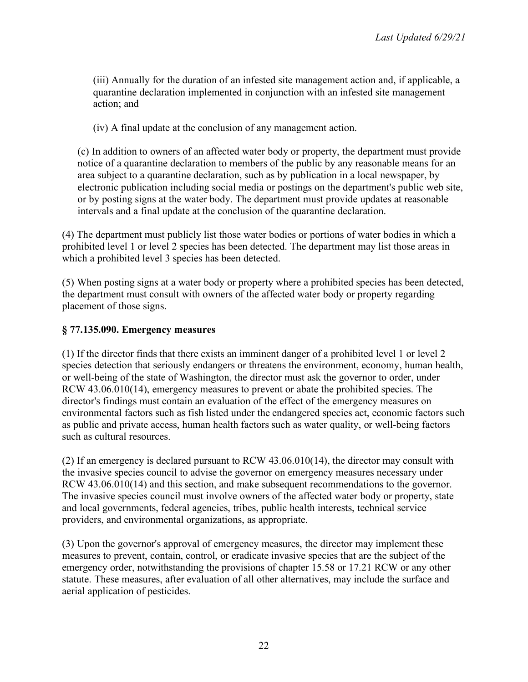(iii) Annually for the duration of an infested site management action and, if applicable, a quarantine declaration implemented in conjunction with an infested site management action; and

(iv) A final update at the conclusion of any management action.

(c) In addition to owners of an affected water body or property, the department must provide notice of a quarantine declaration to members of the public by any reasonable means for an area subject to a quarantine declaration, such as by publication in a local newspaper, by electronic publication including social media or postings on the department's public web site, or by posting signs at the water body. The department must provide updates at reasonable intervals and a final update at the conclusion of the quarantine declaration.

(4) The department must publicly list those water bodies or portions of water bodies in which a prohibited level 1 or level 2 species has been detected. The department may list those areas in which a prohibited level 3 species has been detected.

(5) When posting signs at a water body or property where a prohibited species has been detected, the department must consult with owners of the affected water body or property regarding placement of those signs.

## **§ 77.135.090. Emergency measures**

(1) If the director finds that there exists an imminent danger of a prohibited level 1 or level 2 species detection that seriously endangers or threatens the environment, economy, human health, or well-being of the state of Washington, the director must ask the governor to order, under RCW 43.06.010(14), emergency measures to prevent or abate the prohibited species. The director's findings must contain an evaluation of the effect of the emergency measures on environmental factors such as fish listed under the endangered species act, economic factors such as public and private access, human health factors such as water quality, or well-being factors such as cultural resources.

(2) If an emergency is declared pursuant to RCW 43.06.010(14), the director may consult with the invasive species council to advise the governor on emergency measures necessary under RCW 43.06.010(14) and this section, and make subsequent recommendations to the governor. The invasive species council must involve owners of the affected water body or property, state and local governments, federal agencies, tribes, public health interests, technical service providers, and environmental organizations, as appropriate.

(3) Upon the governor's approval of emergency measures, the director may implement these measures to prevent, contain, control, or eradicate invasive species that are the subject of the emergency order, notwithstanding the provisions of chapter 15.58 or 17.21 RCW or any other statute. These measures, after evaluation of all other alternatives, may include the surface and aerial application of pesticides.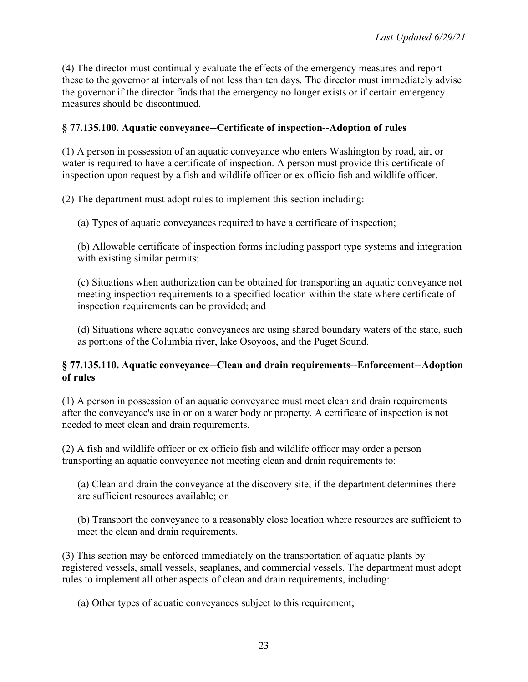(4) The director must continually evaluate the effects of the emergency measures and report these to the governor at intervals of not less than ten days. The director must immediately advise the governor if the director finds that the emergency no longer exists or if certain emergency measures should be discontinued.

## **§ 77.135.100. Aquatic conveyance--Certificate of inspection--Adoption of rules**

(1) A person in possession of an aquatic conveyance who enters Washington by road, air, or water is required to have a certificate of inspection. A person must provide this certificate of inspection upon request by a fish and wildlife officer or ex officio fish and wildlife officer.

(2) The department must adopt rules to implement this section including:

(a) Types of aquatic conveyances required to have a certificate of inspection;

(b) Allowable certificate of inspection forms including passport type systems and integration with existing similar permits;

(c) Situations when authorization can be obtained for transporting an aquatic conveyance not meeting inspection requirements to a specified location within the state where certificate of inspection requirements can be provided; and

(d) Situations where aquatic conveyances are using shared boundary waters of the state, such as portions of the Columbia river, lake Osoyoos, and the Puget Sound.

### **§ 77.135.110. Aquatic conveyance--Clean and drain requirements--Enforcement--Adoption of rules**

(1) A person in possession of an aquatic conveyance must meet clean and drain requirements after the conveyance's use in or on a water body or property. A certificate of inspection is not needed to meet clean and drain requirements.

(2) A fish and wildlife officer or ex officio fish and wildlife officer may order a person transporting an aquatic conveyance not meeting clean and drain requirements to:

(a) Clean and drain the conveyance at the discovery site, if the department determines there are sufficient resources available; or

(b) Transport the conveyance to a reasonably close location where resources are sufficient to meet the clean and drain requirements.

(3) This section may be enforced immediately on the transportation of aquatic plants by registered vessels, small vessels, seaplanes, and commercial vessels. The department must adopt rules to implement all other aspects of clean and drain requirements, including:

(a) Other types of aquatic conveyances subject to this requirement;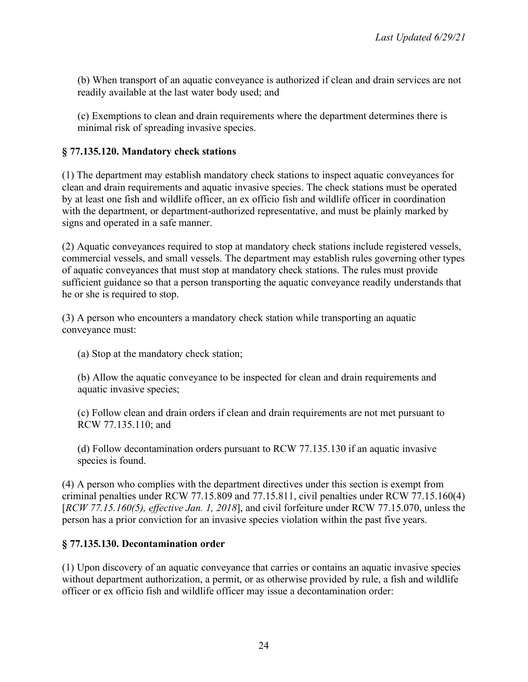(b) When transport of an aquatic conveyance is authorized if clean and drain services are not readily available at the last water body used; and

(c) Exemptions to clean and drain requirements where the department determines there is minimal risk of spreading invasive species.

# **§ 77.135.120. Mandatory check stations**

(1) The department may establish mandatory check stations to inspect aquatic conveyances for clean and drain requirements and aquatic invasive species. The check stations must be operated by at least one fish and wildlife officer, an ex officio fish and wildlife officer in coordination with the department, or department-authorized representative, and must be plainly marked by signs and operated in a safe manner.

(2) Aquatic conveyances required to stop at mandatory check stations include registered vessels, commercial vessels, and small vessels. The department may establish rules governing other types of aquatic conveyances that must stop at mandatory check stations. The rules must provide sufficient guidance so that a person transporting the aquatic conveyance readily understands that he or she is required to stop.

(3) A person who encounters a mandatory check station while transporting an aquatic conveyance must:

(a) Stop at the mandatory check station;

(b) Allow the aquatic conveyance to be inspected for clean and drain requirements and aquatic invasive species;

(c) Follow clean and drain orders if clean and drain requirements are not met pursuant to RCW 77.135.110; and

(d) Follow decontamination orders pursuant to RCW 77.135.130 if an aquatic invasive species is found.

(4) A person who complies with the department directives under this section is exempt from criminal penalties under RCW 77.15.809 and 77.15.811, civil penalties under RCW 77.15.160(4) [*RCW 77.15.160(5), effective Jan. 1, 2018*], and civil forfeiture under RCW 77.15.070, unless the person has a prior conviction for an invasive species violation within the past five years.

### **§ 77.135.130. Decontamination order**

(1) Upon discovery of an aquatic conveyance that carries or contains an aquatic invasive species without department authorization, a permit, or as otherwise provided by rule, a fish and wildlife officer or ex officio fish and wildlife officer may issue a decontamination order: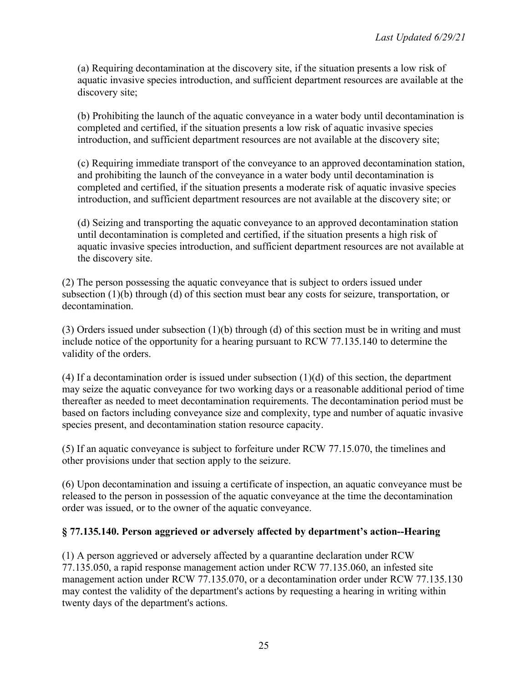(a) Requiring decontamination at the discovery site, if the situation presents a low risk of aquatic invasive species introduction, and sufficient department resources are available at the discovery site;

(b) Prohibiting the launch of the aquatic conveyance in a water body until decontamination is completed and certified, if the situation presents a low risk of aquatic invasive species introduction, and sufficient department resources are not available at the discovery site;

(c) Requiring immediate transport of the conveyance to an approved decontamination station, and prohibiting the launch of the conveyance in a water body until decontamination is completed and certified, if the situation presents a moderate risk of aquatic invasive species introduction, and sufficient department resources are not available at the discovery site; or

(d) Seizing and transporting the aquatic conveyance to an approved decontamination station until decontamination is completed and certified, if the situation presents a high risk of aquatic invasive species introduction, and sufficient department resources are not available at the discovery site.

(2) The person possessing the aquatic conveyance that is subject to orders issued under subsection (1)(b) through (d) of this section must bear any costs for seizure, transportation, or decontamination.

(3) Orders issued under subsection (1)(b) through (d) of this section must be in writing and must include notice of the opportunity for a hearing pursuant to RCW 77.135.140 to determine the validity of the orders.

(4) If a decontamination order is issued under subsection (1)(d) of this section, the department may seize the aquatic conveyance for two working days or a reasonable additional period of time thereafter as needed to meet decontamination requirements. The decontamination period must be based on factors including conveyance size and complexity, type and number of aquatic invasive species present, and decontamination station resource capacity.

(5) If an aquatic conveyance is subject to forfeiture under RCW 77.15.070, the timelines and other provisions under that section apply to the seizure.

(6) Upon decontamination and issuing a certificate of inspection, an aquatic conveyance must be released to the person in possession of the aquatic conveyance at the time the decontamination order was issued, or to the owner of the aquatic conveyance.

# **§ 77.135.140. Person aggrieved or adversely affected by department's action--Hearing**

(1) A person aggrieved or adversely affected by a quarantine declaration under RCW 77.135.050, a rapid response management action under RCW 77.135.060, an infested site management action under RCW 77.135.070, or a decontamination order under RCW 77.135.130 may contest the validity of the department's actions by requesting a hearing in writing within twenty days of the department's actions.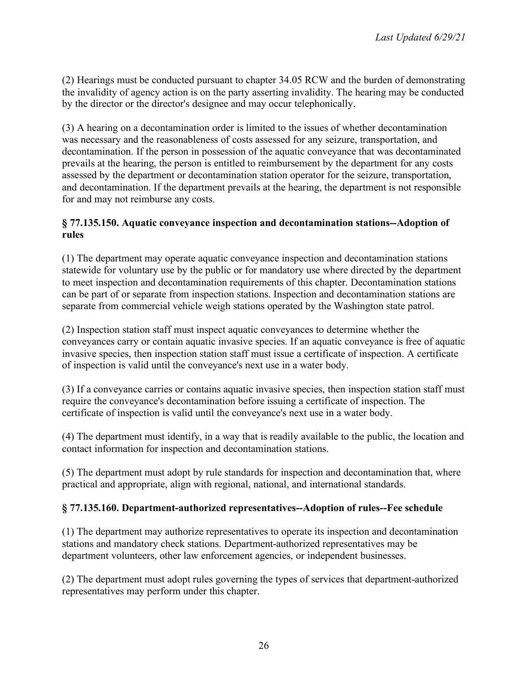(2) Hearings must be conducted pursuant to chapter 34.05 RCW and the burden of demonstrating the invalidity of agency action is on the party asserting invalidity. The hearing may be conducted by the director or the director's designee and may occur telephonically.

(3) A hearing on a decontamination order is limited to the issues of whether decontamination was necessary and the reasonableness of costs assessed for any seizure, transportation, and decontamination. If the person in possession of the aquatic conveyance that was decontaminated prevails at the hearing, the person is entitled to reimbursement by the department for any costs assessed by the department or decontamination station operator for the seizure, transportation, and decontamination. If the department prevails at the hearing, the department is not responsible for and may not reimburse any costs.

## **§ 77.135.150. Aquatic conveyance inspection and decontamination stations--Adoption of rules**

(1) The department may operate aquatic conveyance inspection and decontamination stations statewide for voluntary use by the public or for mandatory use where directed by the department to meet inspection and decontamination requirements of this chapter. Decontamination stations can be part of or separate from inspection stations. Inspection and decontamination stations are separate from commercial vehicle weigh stations operated by the Washington state patrol.

(2) Inspection station staff must inspect aquatic conveyances to determine whether the conveyances carry or contain aquatic invasive species. If an aquatic conveyance is free of aquatic invasive species, then inspection station staff must issue a certificate of inspection. A certificate of inspection is valid until the conveyance's next use in a water body.

(3) If a conveyance carries or contains aquatic invasive species, then inspection station staff must require the conveyance's decontamination before issuing a certificate of inspection. The certificate of inspection is valid until the conveyance's next use in a water body.

(4) The department must identify, in a way that is readily available to the public, the location and contact information for inspection and decontamination stations.

(5) The department must adopt by rule standards for inspection and decontamination that, where practical and appropriate, align with regional, national, and international standards.

# **§ 77.135.160. Department-authorized representatives--Adoption of rules--Fee schedule**

(1) The department may authorize representatives to operate its inspection and decontamination stations and mandatory check stations. Department-authorized representatives may be department volunteers, other law enforcement agencies, or independent businesses.

(2) The department must adopt rules governing the types of services that department-authorized representatives may perform under this chapter.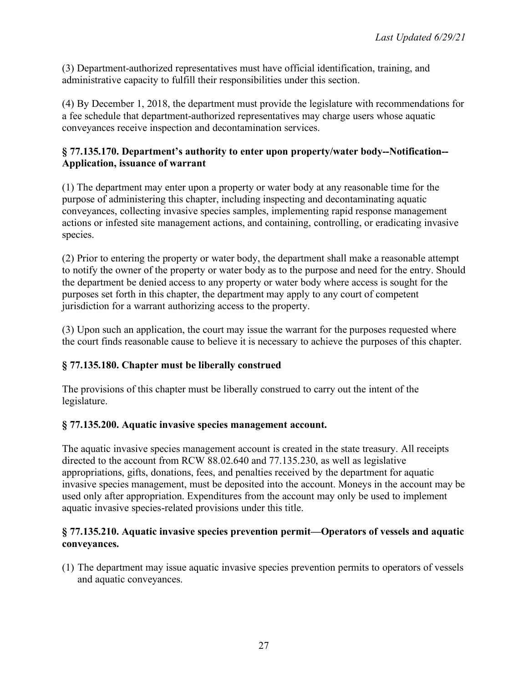(3) Department-authorized representatives must have official identification, training, and administrative capacity to fulfill their responsibilities under this section.

(4) By December 1, 2018, the department must provide the legislature with recommendations for a fee schedule that department-authorized representatives may charge users whose aquatic conveyances receive inspection and decontamination services.

## **§ 77.135.170. Department's authority to enter upon property/water body--Notification-- Application, issuance of warrant**

(1) The department may enter upon a property or water body at any reasonable time for the purpose of administering this chapter, including inspecting and decontaminating aquatic conveyances, collecting invasive species samples, implementing rapid response management actions or infested site management actions, and containing, controlling, or eradicating invasive species.

(2) Prior to entering the property or water body, the department shall make a reasonable attempt to notify the owner of the property or water body as to the purpose and need for the entry. Should the department be denied access to any property or water body where access is sought for the purposes set forth in this chapter, the department may apply to any court of competent jurisdiction for a warrant authorizing access to the property.

(3) Upon such an application, the court may issue the warrant for the purposes requested where the court finds reasonable cause to believe it is necessary to achieve the purposes of this chapter.

# **§ 77.135.180. Chapter must be liberally construed**

The provisions of this chapter must be liberally construed to carry out the intent of the legislature.

# **§ 77.135.200. Aquatic invasive species management account.**

The aquatic invasive species management account is created in the state treasury. All receipts directed to the account from RCW 88.02.640 and 77.135.230, as well as legislative appropriations, gifts, donations, fees, and penalties received by the department for aquatic invasive species management, must be deposited into the account. Moneys in the account may be used only after appropriation. Expenditures from the account may only be used to implement aquatic invasive species-related provisions under this title.

## **§ 77.135.210. Aquatic invasive species prevention permit—Operators of vessels and aquatic conveyances.**

(1) The department may issue aquatic invasive species prevention permits to operators of vessels and aquatic conveyances.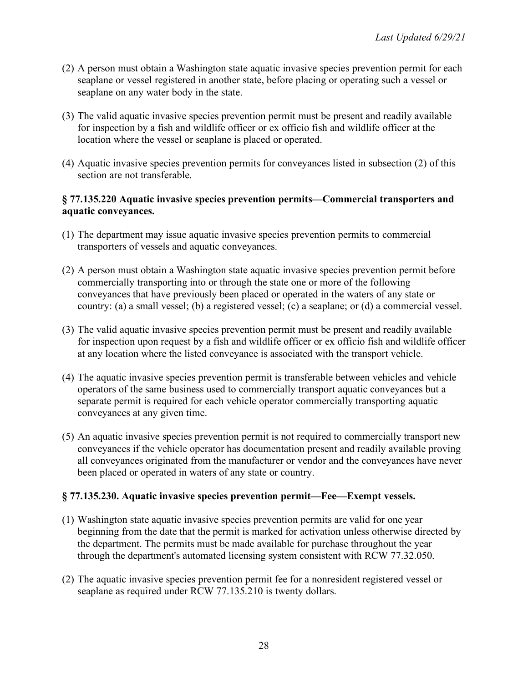- (2) A person must obtain a Washington state aquatic invasive species prevention permit for each seaplane or vessel registered in another state, before placing or operating such a vessel or seaplane on any water body in the state.
- (3) The valid aquatic invasive species prevention permit must be present and readily available for inspection by a fish and wildlife officer or ex officio fish and wildlife officer at the location where the vessel or seaplane is placed or operated.
- (4) Aquatic invasive species prevention permits for conveyances listed in subsection (2) of this section are not transferable.

## **§ 77.135.220 Aquatic invasive species prevention permits—Commercial transporters and aquatic conveyances.**

- (1) The department may issue aquatic invasive species prevention permits to commercial transporters of vessels and aquatic conveyances.
- (2) A person must obtain a Washington state aquatic invasive species prevention permit before commercially transporting into or through the state one or more of the following conveyances that have previously been placed or operated in the waters of any state or country: (a) a small vessel; (b) a registered vessel; (c) a seaplane; or (d) a commercial vessel.
- (3) The valid aquatic invasive species prevention permit must be present and readily available for inspection upon request by a fish and wildlife officer or ex officio fish and wildlife officer at any location where the listed conveyance is associated with the transport vehicle.
- (4) The aquatic invasive species prevention permit is transferable between vehicles and vehicle operators of the same business used to commercially transport aquatic conveyances but a separate permit is required for each vehicle operator commercially transporting aquatic conveyances at any given time.
- (5) An aquatic invasive species prevention permit is not required to commercially transport new conveyances if the vehicle operator has documentation present and readily available proving all conveyances originated from the manufacturer or vendor and the conveyances have never been placed or operated in waters of any state or country.

# **§ 77.135.230. Aquatic invasive species prevention permit—Fee—Exempt vessels.**

- (1) Washington state aquatic invasive species prevention permits are valid for one year beginning from the date that the permit is marked for activation unless otherwise directed by the department. The permits must be made available for purchase throughout the year through the department's automated licensing system consistent with RCW 77.32.050.
- (2) The aquatic invasive species prevention permit fee for a nonresident registered vessel or seaplane as required under RCW 77.135.210 is twenty dollars.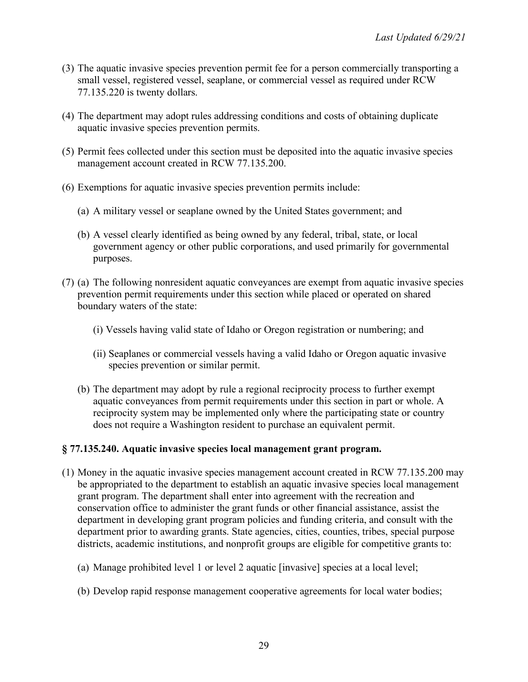- (3) The aquatic invasive species prevention permit fee for a person commercially transporting a small vessel, registered vessel, seaplane, or commercial vessel as required under RCW 77.135.220 is twenty dollars.
- (4) The department may adopt rules addressing conditions and costs of obtaining duplicate aquatic invasive species prevention permits.
- (5) Permit fees collected under this section must be deposited into the aquatic invasive species management account created in RCW 77.135.200.
- (6) Exemptions for aquatic invasive species prevention permits include:
	- (a) A military vessel or seaplane owned by the United States government; and
	- (b) A vessel clearly identified as being owned by any federal, tribal, state, or local government agency or other public corporations, and used primarily for governmental purposes.
- (7) (a) The following nonresident aquatic conveyances are exempt from aquatic invasive species prevention permit requirements under this section while placed or operated on shared boundary waters of the state:
	- (i) Vessels having valid state of Idaho or Oregon registration or numbering; and
	- (ii) Seaplanes or commercial vessels having a valid Idaho or Oregon aquatic invasive species prevention or similar permit.
	- (b) The department may adopt by rule a regional reciprocity process to further exempt aquatic conveyances from permit requirements under this section in part or whole. A reciprocity system may be implemented only where the participating state or country does not require a Washington resident to purchase an equivalent permit.

# **§ 77.135.240. Aquatic invasive species local management grant program.**

- (1) Money in the aquatic invasive species management account created in RCW 77.135.200 may be appropriated to the department to establish an aquatic invasive species local management grant program. The department shall enter into agreement with the recreation and conservation office to administer the grant funds or other financial assistance, assist the department in developing grant program policies and funding criteria, and consult with the department prior to awarding grants. State agencies, cities, counties, tribes, special purpose districts, academic institutions, and nonprofit groups are eligible for competitive grants to:
	- (a) Manage prohibited level 1 or level 2 aquatic [invasive] species at a local level;
	- (b) Develop rapid response management cooperative agreements for local water bodies;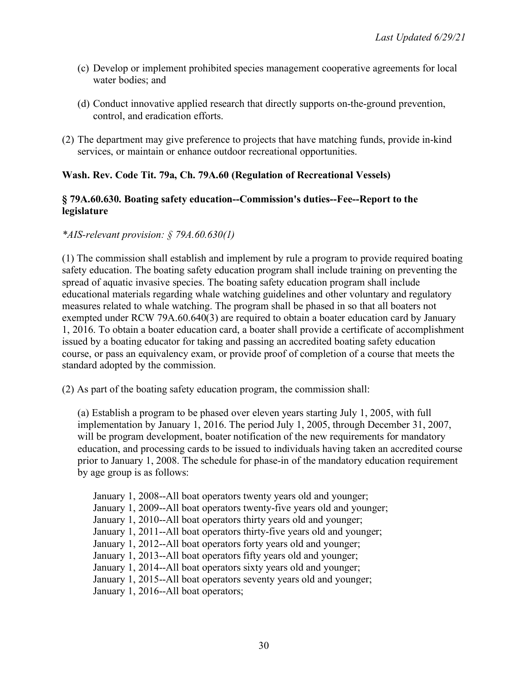- (c) Develop or implement prohibited species management cooperative agreements for local water bodies; and
- (d) Conduct innovative applied research that directly supports on-the-ground prevention, control, and eradication efforts.
- (2) The department may give preference to projects that have matching funds, provide in-kind services, or maintain or enhance outdoor recreational opportunities.

### **Wash. Rev. Code Tit. 79a, Ch. 79A.60 (Regulation of Recreational Vessels)**

## **§ 79A.60.630. Boating safety education--Commission's duties--Fee--Report to the legislature**

### *\*AIS-relevant provision: § 79A.60.630(1)*

(1) The commission shall establish and implement by rule a program to provide required boating safety education. The boating safety education program shall include training on preventing the spread of aquatic invasive species. The boating safety education program shall include educational materials regarding whale watching guidelines and other voluntary and regulatory measures related to whale watching. The program shall be phased in so that all boaters not exempted under RCW 79A.60.640(3) are required to obtain a boater education card by January 1, 2016. To obtain a boater education card, a boater shall provide a certificate of accomplishment issued by a boating educator for taking and passing an accredited boating safety education course, or pass an equivalency exam, or provide proof of completion of a course that meets the standard adopted by the commission.

(2) As part of the boating safety education program, the commission shall:

(a) Establish a program to be phased over eleven years starting July 1, 2005, with full implementation by January 1, 2016. The period July 1, 2005, through December 31, 2007, will be program development, boater notification of the new requirements for mandatory education, and processing cards to be issued to individuals having taken an accredited course prior to January 1, 2008. The schedule for phase-in of the mandatory education requirement by age group is as follows:

January 1, 2008--All boat operators twenty years old and younger; January 1, 2009--All boat operators twenty-five years old and younger; January 1, 2010--All boat operators thirty years old and younger; January 1, 2011--All boat operators thirty-five years old and younger; January 1, 2012--All boat operators forty years old and younger; January 1, 2013--All boat operators fifty years old and younger; January 1, 2014--All boat operators sixty years old and younger; January 1, 2015--All boat operators seventy years old and younger; January 1, 2016--All boat operators;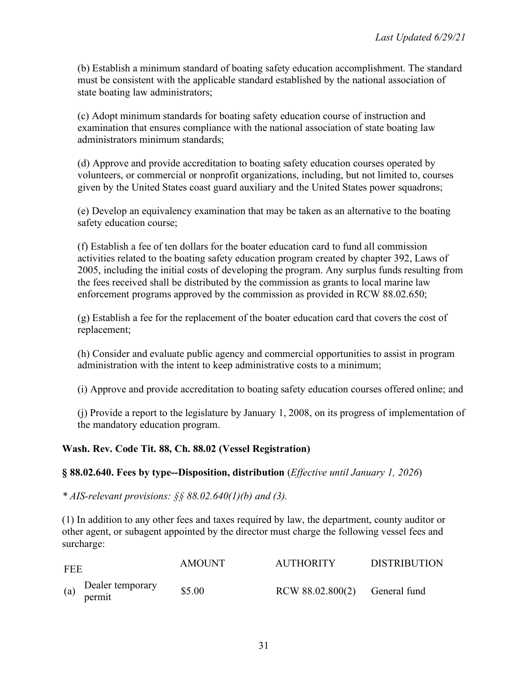(b) Establish a minimum standard of boating safety education accomplishment. The standard must be consistent with the applicable standard established by the national association of state boating law administrators;

(c) Adopt minimum standards for boating safety education course of instruction and examination that ensures compliance with the national association of state boating law administrators minimum standards;

(d) Approve and provide accreditation to boating safety education courses operated by volunteers, or commercial or nonprofit organizations, including, but not limited to, courses given by the United States coast guard auxiliary and the United States power squadrons;

(e) Develop an equivalency examination that may be taken as an alternative to the boating safety education course;

(f) Establish a fee of ten dollars for the boater education card to fund all commission activities related to the boating safety education program created by chapter 392, Laws of 2005, including the initial costs of developing the program. Any surplus funds resulting from the fees received shall be distributed by the commission as grants to local marine law enforcement programs approved by the commission as provided in RCW 88.02.650;

(g) Establish a fee for the replacement of the boater education card that covers the cost of replacement;

(h) Consider and evaluate public agency and commercial opportunities to assist in program administration with the intent to keep administrative costs to a minimum;

(i) Approve and provide accreditation to boating safety education courses offered online; and

(j) Provide a report to the legislature by January 1, 2008, on its progress of implementation of the mandatory education program.

### **Wash. Rev. Code Tit. 88, Ch. 88.02 (Vessel Registration)**

### **§ 88.02.640. Fees by type--Disposition, distribution** (*Effective until January 1, 2026*)

*\* AIS-relevant provisions: §§ 88.02.640(1)(b) and (3).*

(1) In addition to any other fees and taxes required by law, the department, county auditor or other agent, or subagent appointed by the director must charge the following vessel fees and surcharge:

| <b>FEE</b> |                            | <b>AMOUNT</b> | <b>AUTHORITY</b>                | <b>DISTRIBUTION</b> |
|------------|----------------------------|---------------|---------------------------------|---------------------|
| (a)        | Dealer temporary<br>permit | \$5.00        | $RCW 88.02.800(2)$ General fund |                     |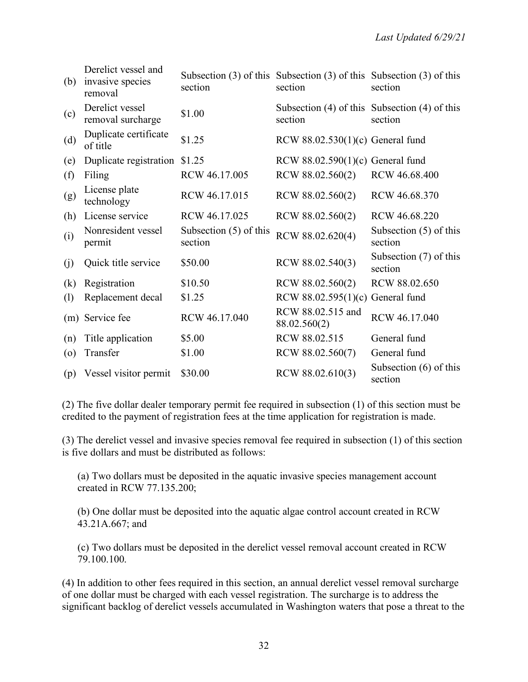| (b)               | Derelict vessel and<br>invasive species<br>removal | section                             | Subsection $(3)$ of this Subsection $(3)$ of this Subsection $(3)$ of this<br>section | section                                                      |
|-------------------|----------------------------------------------------|-------------------------------------|---------------------------------------------------------------------------------------|--------------------------------------------------------------|
| (c)               | Derelict vessel<br>removal surcharge               | \$1.00                              | section                                                                               | Subsection $(4)$ of this Subsection $(4)$ of this<br>section |
| (d)               | Duplicate certificate<br>of title                  | \$1.25                              | RCW $88.02.530(1)(c)$ General fund                                                    |                                                              |
| (e)               | Duplicate registration                             | \$1.25                              | RCW $88.02.590(1)(c)$ General fund                                                    |                                                              |
| (f)               | Filing                                             | RCW 46.17.005                       | RCW 88.02.560(2)                                                                      | RCW 46.68.400                                                |
| (g)               | License plate<br>technology                        | RCW 46.17.015                       | RCW 88.02.560(2)                                                                      | RCW 46.68.370                                                |
| (h)               | License service                                    | RCW 46.17.025                       | RCW 88.02.560(2)                                                                      | RCW 46.68.220                                                |
| (i)               | Nonresident vessel<br>permit                       | Subsection $(5)$ of this<br>section | RCW 88.02.620(4)                                                                      | Subsection $(5)$ of this<br>section                          |
| (j)               | Quick title service                                | \$50.00                             | RCW 88.02.540(3)                                                                      | Subsection (7) of this<br>section                            |
| (k)               | Registration                                       | \$10.50                             | RCW 88.02.560(2)                                                                      | RCW 88.02.650                                                |
| (1)               | Replacement decal                                  | \$1.25                              | RCW $88.02.595(1)(c)$ General fund                                                    |                                                              |
|                   | (m) Service fee                                    | RCW 46.17.040                       | RCW 88.02.515 and<br>88.02.560(2)                                                     | RCW 46.17.040                                                |
| (n)               | Title application                                  | \$5.00                              | RCW 88.02.515                                                                         | General fund                                                 |
| $\left( 0\right)$ | Transfer                                           | \$1.00                              | RCW 88.02.560(7)                                                                      | General fund                                                 |
| (p)               | Vessel visitor permit                              | \$30.00                             | RCW 88.02.610(3)                                                                      | Subsection $(6)$ of this<br>section                          |

(2) The five dollar dealer temporary permit fee required in subsection (1) of this section must be credited to the payment of registration fees at the time application for registration is made.

(3) The derelict vessel and invasive species removal fee required in subsection (1) of this section is five dollars and must be distributed as follows:

(a) Two dollars must be deposited in the aquatic invasive species management account created in RCW 77.135.200;

(b) One dollar must be deposited into the aquatic algae control account created in RCW 43.21A.667; and

(c) Two dollars must be deposited in the derelict vessel removal account created in RCW 79.100.100.

(4) In addition to other fees required in this section, an annual derelict vessel removal surcharge of one dollar must be charged with each vessel registration. The surcharge is to address the significant backlog of derelict vessels accumulated in Washington waters that pose a threat to the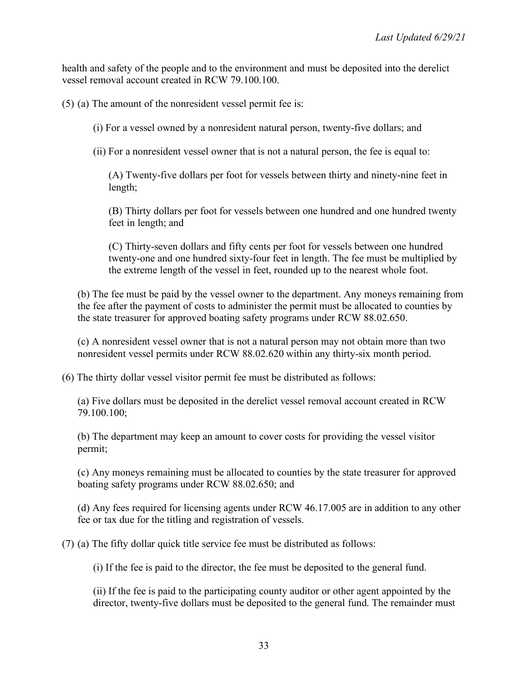health and safety of the people and to the environment and must be deposited into the derelict vessel removal account created in RCW 79.100.100.

(5) (a) The amount of the nonresident vessel permit fee is:

(i) For a vessel owned by a nonresident natural person, twenty-five dollars; and

(ii) For a nonresident vessel owner that is not a natural person, the fee is equal to:

(A) Twenty-five dollars per foot for vessels between thirty and ninety-nine feet in length;

(B) Thirty dollars per foot for vessels between one hundred and one hundred twenty feet in length; and

(C) Thirty-seven dollars and fifty cents per foot for vessels between one hundred twenty-one and one hundred sixty-four feet in length. The fee must be multiplied by the extreme length of the vessel in feet, rounded up to the nearest whole foot.

(b) The fee must be paid by the vessel owner to the department. Any moneys remaining from the fee after the payment of costs to administer the permit must be allocated to counties by the state treasurer for approved boating safety programs under RCW 88.02.650.

(c) A nonresident vessel owner that is not a natural person may not obtain more than two nonresident vessel permits under RCW 88.02.620 within any thirty-six month period.

(6) The thirty dollar vessel visitor permit fee must be distributed as follows:

(a) Five dollars must be deposited in the derelict vessel removal account created in RCW 79.100.100;

(b) The department may keep an amount to cover costs for providing the vessel visitor permit;

(c) Any moneys remaining must be allocated to counties by the state treasurer for approved boating safety programs under RCW 88.02.650; and

(d) Any fees required for licensing agents under RCW 46.17.005 are in addition to any other fee or tax due for the titling and registration of vessels.

(7) (a) The fifty dollar quick title service fee must be distributed as follows:

(i) If the fee is paid to the director, the fee must be deposited to the general fund.

(ii) If the fee is paid to the participating county auditor or other agent appointed by the director, twenty-five dollars must be deposited to the general fund. The remainder must